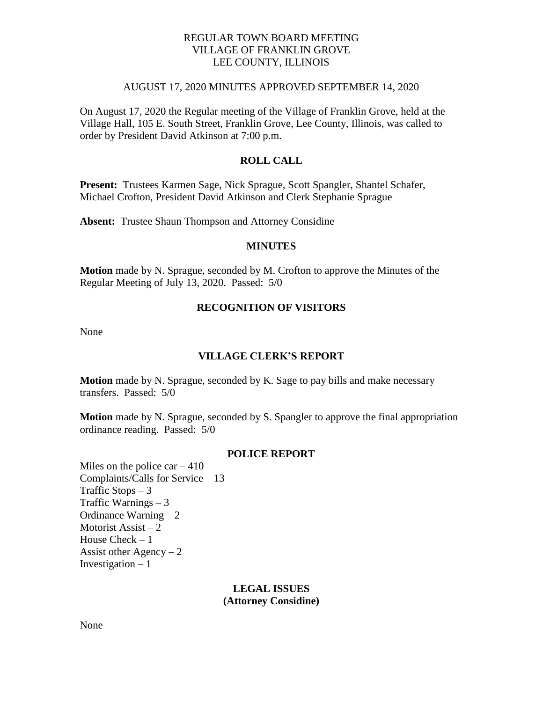# REGULAR TOWN BOARD MEETING VILLAGE OF FRANKLIN GROVE LEE COUNTY, ILLINOIS

#### AUGUST 17, 2020 MINUTES APPROVED SEPTEMBER 14, 2020

On August 17, 2020 the Regular meeting of the Village of Franklin Grove, held at the Village Hall, 105 E. South Street, Franklin Grove, Lee County, Illinois, was called to order by President David Atkinson at 7:00 p.m.

# **ROLL CALL**

**Present:** Trustees Karmen Sage, Nick Sprague, Scott Spangler, Shantel Schafer, Michael Crofton, President David Atkinson and Clerk Stephanie Sprague

**Absent:** Trustee Shaun Thompson and Attorney Considine

#### **MINUTES**

**Motion** made by N. Sprague, seconded by M. Crofton to approve the Minutes of the Regular Meeting of July 13, 2020. Passed: 5/0

# **RECOGNITION OF VISITORS**

None

### **VILLAGE CLERK'S REPORT**

**Motion** made by N. Sprague, seconded by K. Sage to pay bills and make necessary transfers. Passed: 5/0

**Motion** made by N. Sprague, seconded by S. Spangler to approve the final appropriation ordinance reading. Passed: 5/0

### **POLICE REPORT**

Miles on the police car  $-410$ Complaints/Calls for Service – 13 Traffic Stops  $-3$ Traffic Warnings – 3 Ordinance Warning – 2 Motorist Assist – 2 House Check – 1 Assist other  $Agency - 2$ Investigation  $-1$ 

### **LEGAL ISSUES (Attorney Considine)**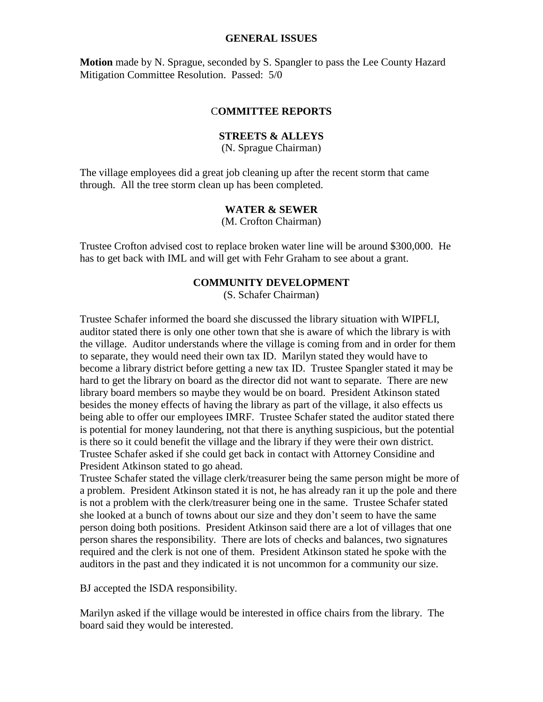#### **GENERAL ISSUES**

**Motion** made by N. Sprague, seconded by S. Spangler to pass the Lee County Hazard Mitigation Committee Resolution. Passed: 5/0

### C**OMMITTEE REPORTS**

### **STREETS & ALLEYS**

(N. Sprague Chairman)

The village employees did a great job cleaning up after the recent storm that came through. All the tree storm clean up has been completed.

### **WATER & SEWER**

(M. Crofton Chairman)

Trustee Crofton advised cost to replace broken water line will be around \$300,000. He has to get back with IML and will get with Fehr Graham to see about a grant.

### **COMMUNITY DEVELOPMENT**

(S. Schafer Chairman)

Trustee Schafer informed the board she discussed the library situation with WIPFLI, auditor stated there is only one other town that she is aware of which the library is with the village. Auditor understands where the village is coming from and in order for them to separate, they would need their own tax ID. Marilyn stated they would have to become a library district before getting a new tax ID. Trustee Spangler stated it may be hard to get the library on board as the director did not want to separate. There are new library board members so maybe they would be on board. President Atkinson stated besides the money effects of having the library as part of the village, it also effects us being able to offer our employees IMRF. Trustee Schafer stated the auditor stated there is potential for money laundering, not that there is anything suspicious, but the potential is there so it could benefit the village and the library if they were their own district. Trustee Schafer asked if she could get back in contact with Attorney Considine and President Atkinson stated to go ahead.

Trustee Schafer stated the village clerk/treasurer being the same person might be more of a problem. President Atkinson stated it is not, he has already ran it up the pole and there is not a problem with the clerk/treasurer being one in the same. Trustee Schafer stated she looked at a bunch of towns about our size and they don't seem to have the same person doing both positions. President Atkinson said there are a lot of villages that one person shares the responsibility. There are lots of checks and balances, two signatures required and the clerk is not one of them. President Atkinson stated he spoke with the auditors in the past and they indicated it is not uncommon for a community our size.

BJ accepted the ISDA responsibility.

Marilyn asked if the village would be interested in office chairs from the library. The board said they would be interested.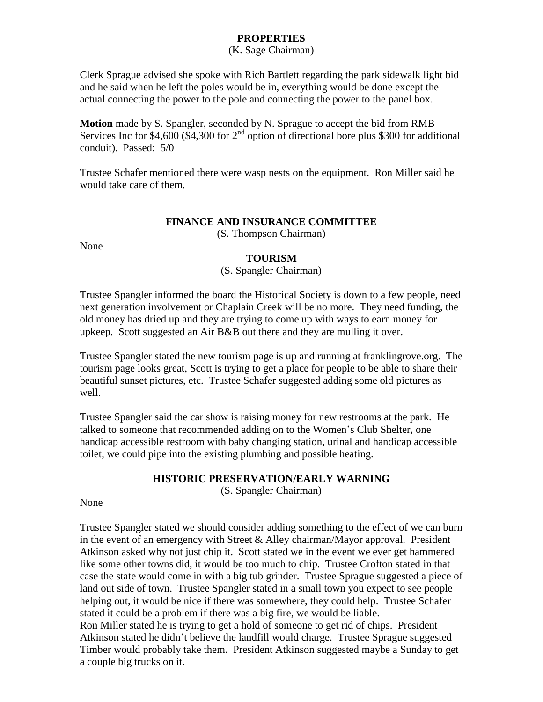# **PROPERTIES**

### (K. Sage Chairman)

Clerk Sprague advised she spoke with Rich Bartlett regarding the park sidewalk light bid and he said when he left the poles would be in, everything would be done except the actual connecting the power to the pole and connecting the power to the panel box.

**Motion** made by S. Spangler, seconded by N. Sprague to accept the bid from RMB Services Inc for \$4,600 (\$4,300 for  $2<sup>nd</sup>$  option of directional bore plus \$300 for additional conduit). Passed: 5/0

Trustee Schafer mentioned there were wasp nests on the equipment. Ron Miller said he would take care of them.

# **FINANCE AND INSURANCE COMMITTEE**

(S. Thompson Chairman)

None

# **TOURISM**

### (S. Spangler Chairman)

Trustee Spangler informed the board the Historical Society is down to a few people, need next generation involvement or Chaplain Creek will be no more. They need funding, the old money has dried up and they are trying to come up with ways to earn money for upkeep. Scott suggested an Air B&B out there and they are mulling it over.

Trustee Spangler stated the new tourism page is up and running at franklingrove.org. The tourism page looks great, Scott is trying to get a place for people to be able to share their beautiful sunset pictures, etc. Trustee Schafer suggested adding some old pictures as well.

Trustee Spangler said the car show is raising money for new restrooms at the park. He talked to someone that recommended adding on to the Women's Club Shelter, one handicap accessible restroom with baby changing station, urinal and handicap accessible toilet, we could pipe into the existing plumbing and possible heating.

# **HISTORIC PRESERVATION/EARLY WARNING**

(S. Spangler Chairman)

### None

Trustee Spangler stated we should consider adding something to the effect of we can burn in the event of an emergency with Street  $&$  Alley chairman/Mayor approval. President Atkinson asked why not just chip it. Scott stated we in the event we ever get hammered like some other towns did, it would be too much to chip. Trustee Crofton stated in that case the state would come in with a big tub grinder. Trustee Sprague suggested a piece of land out side of town. Trustee Spangler stated in a small town you expect to see people helping out, it would be nice if there was somewhere, they could help. Trustee Schafer stated it could be a problem if there was a big fire, we would be liable.

Ron Miller stated he is trying to get a hold of someone to get rid of chips. President Atkinson stated he didn't believe the landfill would charge. Trustee Sprague suggested Timber would probably take them. President Atkinson suggested maybe a Sunday to get a couple big trucks on it.